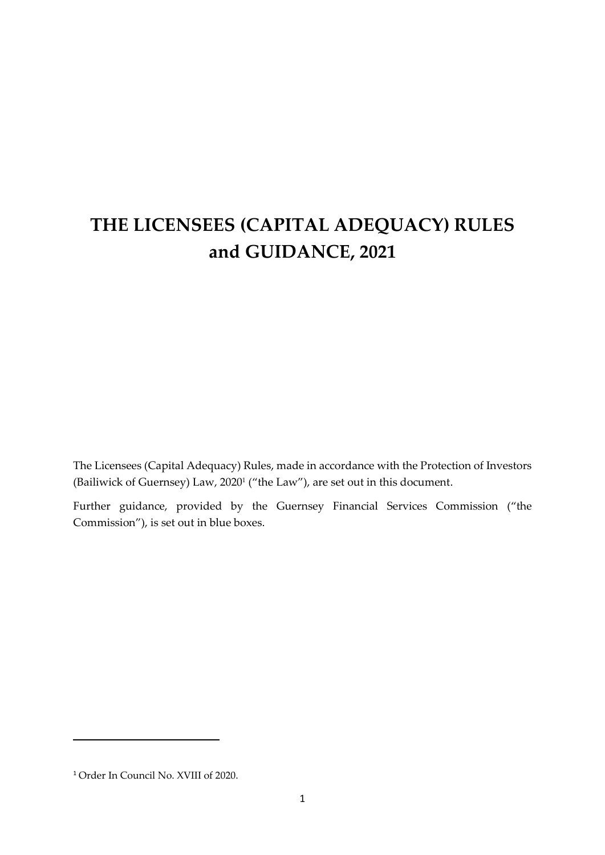# **THE LICENSEES (CAPITAL ADEQUACY) RULES and GUIDANCE, 2021**

The Licensees (Capital Adequacy) Rules, made in accordance with the Protection of Investors (Bailiwick of Guernsey) Law, 2020<sup>1</sup> ("the Law"), are set out in this document.

Further guidance, provided by the Guernsey Financial Services Commission ("the Commission"), is set out in blue boxes.

<sup>1</sup> Order In Council No. XVIII of 2020.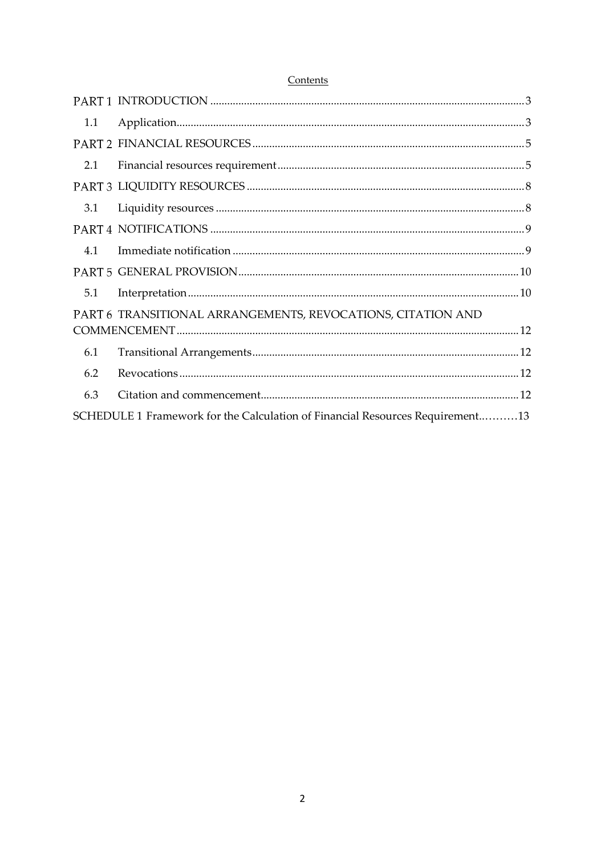#### Contents

| 1.1 |                                                                               |  |  |  |  |  |
|-----|-------------------------------------------------------------------------------|--|--|--|--|--|
|     |                                                                               |  |  |  |  |  |
| 2.1 |                                                                               |  |  |  |  |  |
|     |                                                                               |  |  |  |  |  |
| 3.1 |                                                                               |  |  |  |  |  |
|     |                                                                               |  |  |  |  |  |
| 4.1 |                                                                               |  |  |  |  |  |
|     |                                                                               |  |  |  |  |  |
| 5.1 |                                                                               |  |  |  |  |  |
|     | PART 6 TRANSITIONAL ARRANGEMENTS, REVOCATIONS, CITATION AND                   |  |  |  |  |  |
|     |                                                                               |  |  |  |  |  |
| 6.1 |                                                                               |  |  |  |  |  |
| 6.2 |                                                                               |  |  |  |  |  |
| 6.3 |                                                                               |  |  |  |  |  |
|     | SCHEDULE 1 Framework for the Calculation of Financial Resources Requirement13 |  |  |  |  |  |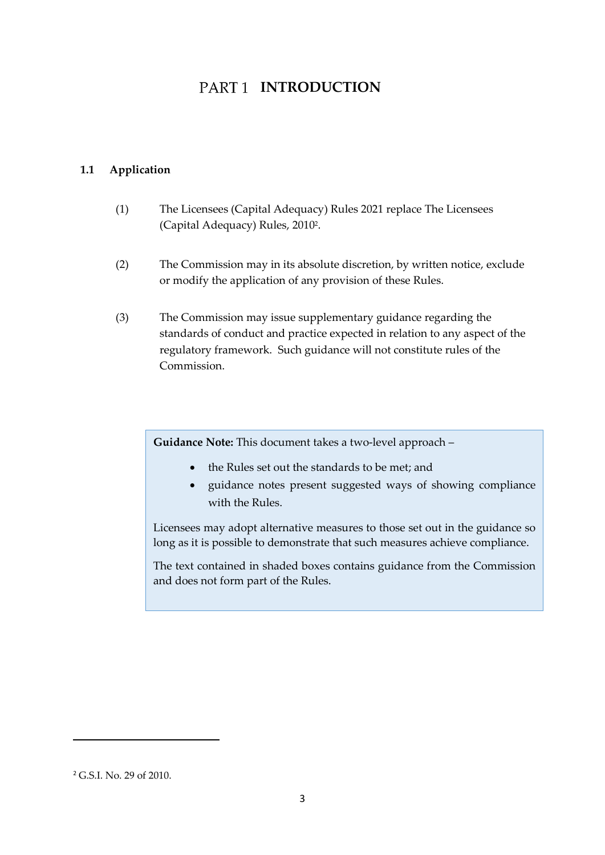## PART<sub>1</sub> INTRODUCTION

### <span id="page-2-1"></span><span id="page-2-0"></span>**1.1 Application**

- (1) The Licensees (Capital Adequacy) Rules 2021 replace The Licensees (Capital Adequacy) Rules, 2010<sup>2</sup> .
- (2) The Commission may in its absolute discretion, by written notice, exclude or modify the application of any provision of these Rules.
- (3) The Commission may issue supplementary guidance regarding the standards of conduct and practice expected in relation to any aspect of the regulatory framework. Such guidance will not constitute rules of the Commission.

**Guidance Note:** This document takes a two-level approach –

- the Rules set out the standards to be met; and
- guidance notes present suggested ways of showing compliance with the Rules.

Licensees may adopt alternative measures to those set out in the guidance so long as it is possible to demonstrate that such measures achieve compliance.

The text contained in shaded boxes contains guidance from the Commission and does not form part of the Rules.

<sup>2</sup> G.S.I. No. 29 of 2010.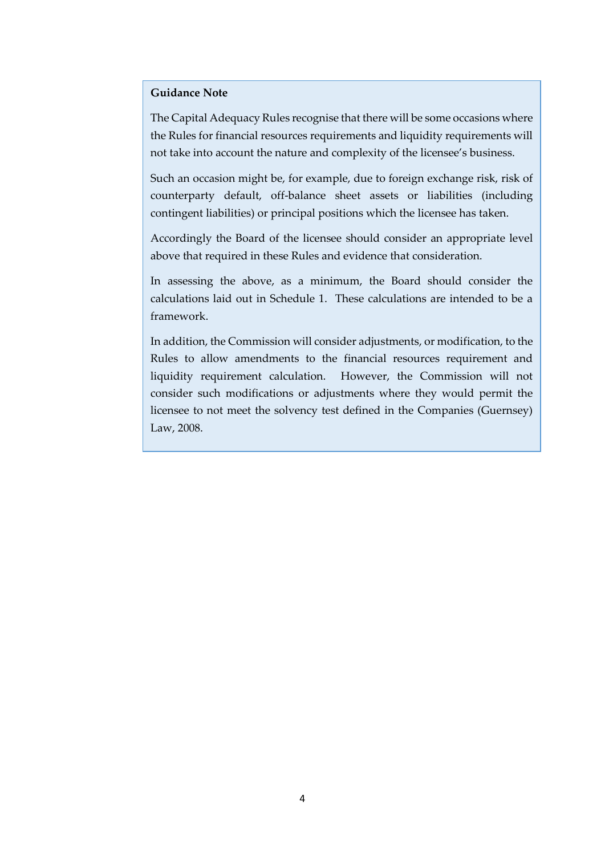#### **Guidance Note**

The Capital Adequacy Rules recognise that there will be some occasions where the Rules for financial resources requirements and liquidity requirements will not take into account the nature and complexity of the licensee's business.

Such an occasion might be, for example, due to foreign exchange risk, risk of counterparty default, off-balance sheet assets or liabilities (including contingent liabilities) or principal positions which the licensee has taken.

Accordingly the Board of the licensee should consider an appropriate level above that required in these Rules and evidence that consideration.

In assessing the above, as a minimum, the Board should consider the calculations laid out in Schedule 1. These calculations are intended to be a framework.

In addition, the Commission will consider adjustments, or modification, to the Rules to allow amendments to the financial resources requirement and liquidity requirement calculation. However, the Commission will not consider such modifications or adjustments where they would permit the licensee to not meet the solvency test defined in the Companies (Guernsey) Law, 2008.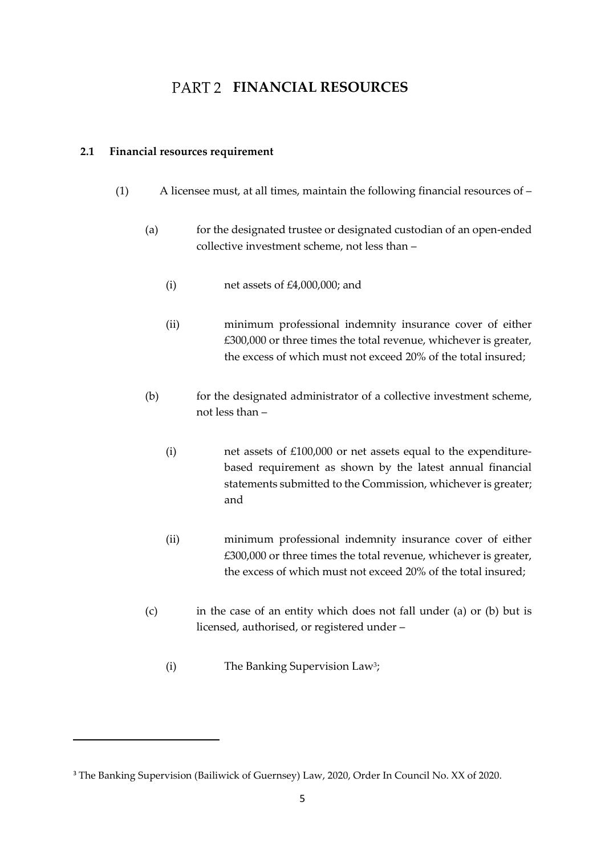## **FART 2 FINANCIAL RESOURCES**

### <span id="page-4-1"></span><span id="page-4-0"></span>**2.1 Financial resources requirement**

- (1) A licensee must, at all times, maintain the following financial resources of
	- (a) for the designated trustee or designated custodian of an open-ended collective investment scheme, not less than –
		- (i) net assets of £4,000,000; and
		- (ii) minimum professional indemnity insurance cover of either £300,000 or three times the total revenue, whichever is greater, the excess of which must not exceed 20% of the total insured;
	- (b) for the designated administrator of a collective investment scheme, not less than –
		- (i) net assets of £100,000 or net assets equal to the expenditurebased requirement as shown by the latest annual financial statements submitted to the Commission, whichever is greater; and
		- (ii) minimum professional indemnity insurance cover of either £300,000 or three times the total revenue, whichever is greater, the excess of which must not exceed 20% of the total insured;
	- (c) in the case of an entity which does not fall under (a) or (b) but is licensed, authorised, or registered under –
		- (i) The Banking Supervision Law<sup>3</sup> ;

<sup>&</sup>lt;sup>3</sup> The Banking Supervision (Bailiwick of Guernsey) Law, 2020, Order In Council No. XX of 2020.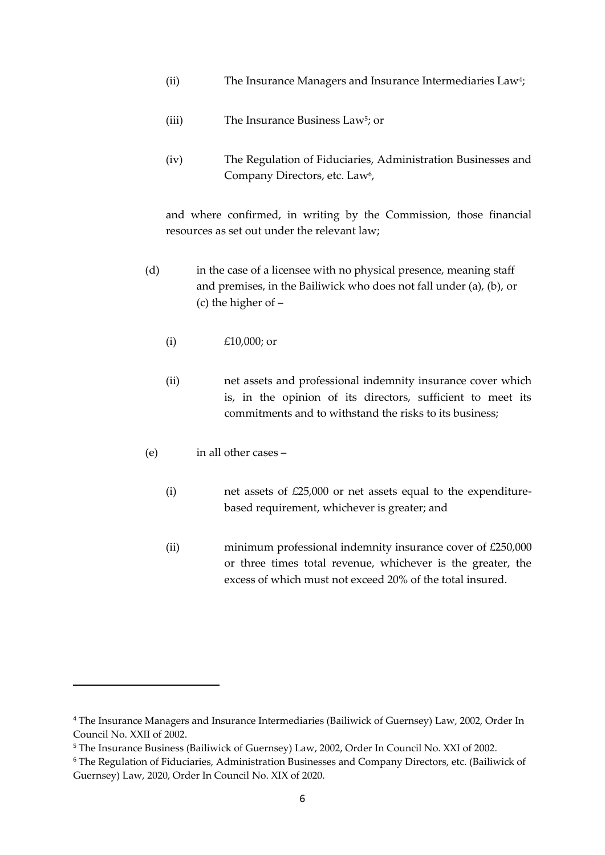- (ii) The Insurance Managers and Insurance Intermediaries Law<sup>4</sup>;
- (iii) The Insurance Business Law<sup>5</sup>; or
- (iv) The Regulation of Fiduciaries, Administration Businesses and Company Directors, etc. Law<sup>6</sup>,

and where confirmed, in writing by the Commission, those financial resources as set out under the relevant law;

- (d) in the case of a licensee with no physical presence, meaning staff and premises, in the Bailiwick who does not fall under (a), (b), or (c) the higher of –
	- (i)  $£10,000;$  or
	- (ii) net assets and professional indemnity insurance cover which is, in the opinion of its directors, sufficient to meet its commitments and to withstand the risks to its business;
- (e) in all other cases
	- (i) net assets of £25,000 or net assets equal to the expenditurebased requirement, whichever is greater; and
	- (ii) minimum professional indemnity insurance cover of £250,000 or three times total revenue, whichever is the greater, the excess of which must not exceed 20% of the total insured.

<sup>4</sup> The Insurance Managers and Insurance Intermediaries (Bailiwick of Guernsey) Law, 2002, Order In Council No. XXII of 2002.

<sup>5</sup> The Insurance Business (Bailiwick of Guernsey) Law, 2002, Order In Council No. XXI of 2002.

<sup>6</sup> The Regulation of Fiduciaries, Administration Businesses and Company Directors, etc. (Bailiwick of Guernsey) Law, 2020, Order In Council No. XIX of 2020.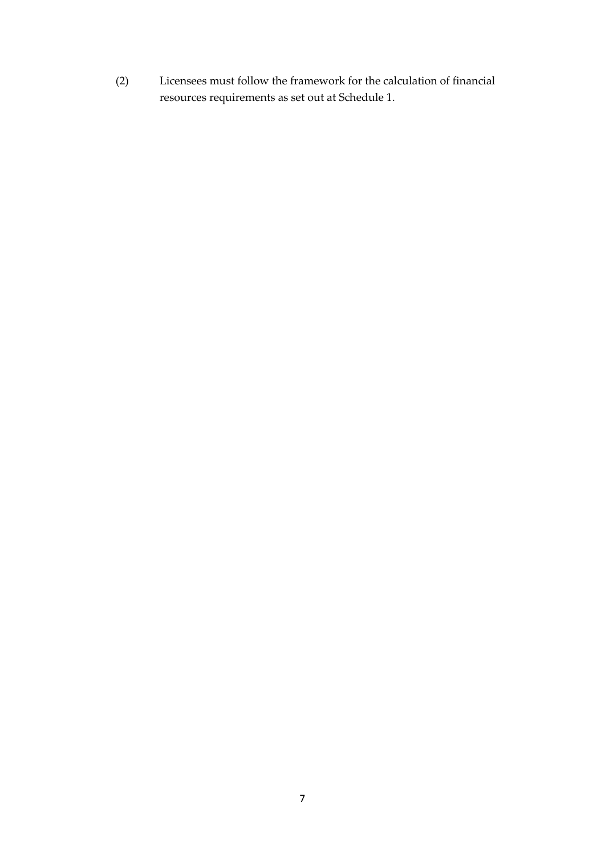(2) Licensees must follow the framework for the calculation of financial resources requirements as set out at Schedule 1.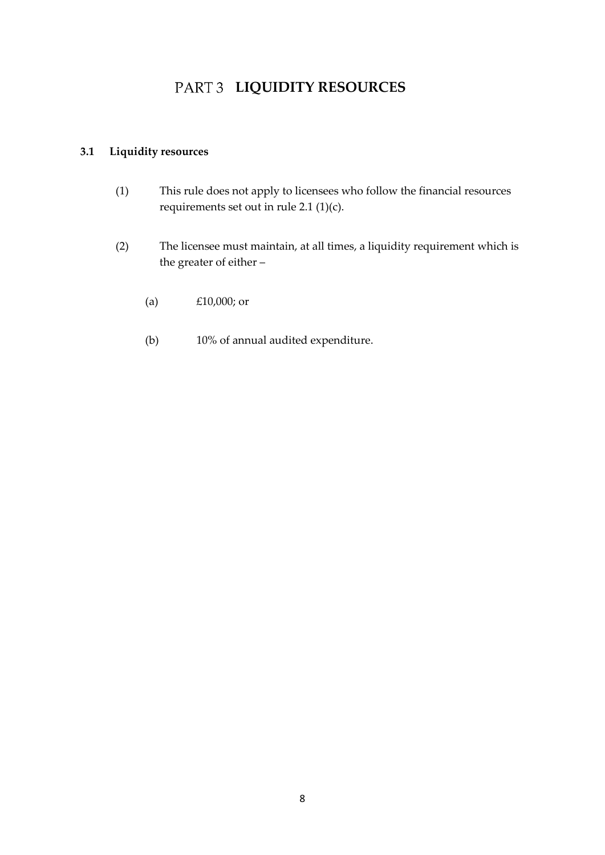## PART 3 LIQUIDITY RESOURCES

### <span id="page-7-1"></span><span id="page-7-0"></span>**3.1 Liquidity resources**

- (1) This rule does not apply to licensees who follow the financial resources requirements set out in rule 2.1 (1)(c).
- (2) The licensee must maintain, at all times, a liquidity requirement which is the greater of either –
	- (a) £10,000; or
	- (b) 10% of annual audited expenditure.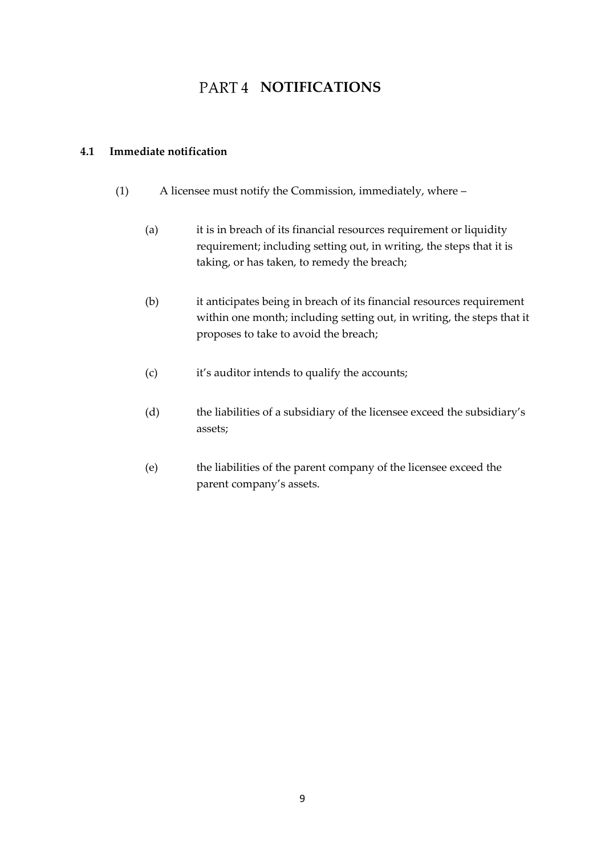## PART4 **NOTIFICATIONS**

### <span id="page-8-1"></span><span id="page-8-0"></span>**4.1 Immediate notification**

- (1) A licensee must notify the Commission, immediately, where
	- (a) it is in breach of its financial resources requirement or liquidity requirement; including setting out, in writing, the steps that it is taking, or has taken, to remedy the breach;
	- (b) it anticipates being in breach of its financial resources requirement within one month; including setting out, in writing, the steps that it proposes to take to avoid the breach;
	- (c) it's auditor intends to qualify the accounts;
	- (d) the liabilities of a subsidiary of the licensee exceed the subsidiary's assets;
	- (e) the liabilities of the parent company of the licensee exceed the parent company's assets.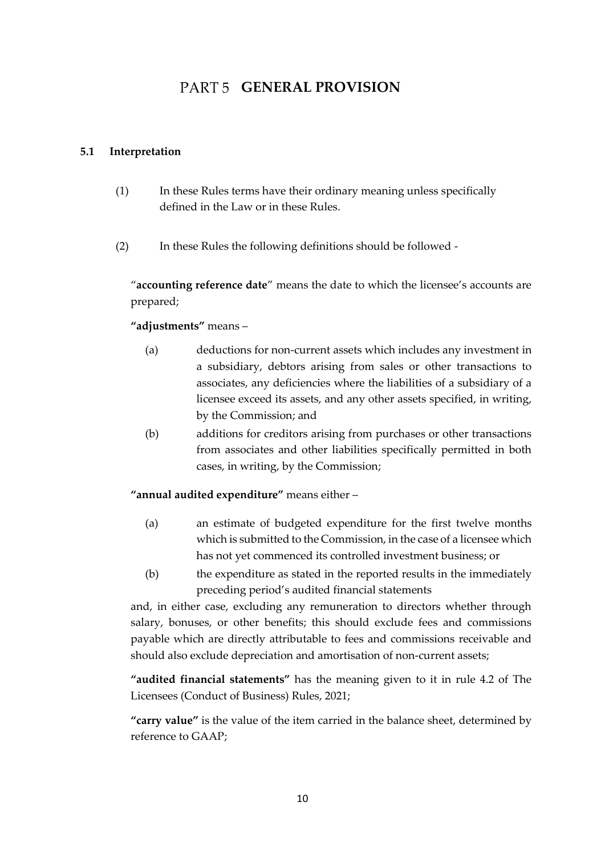## PART 5 **GENERAL PROVISION**

### <span id="page-9-1"></span><span id="page-9-0"></span>**5.1 Interpretation**

- (1) In these Rules terms have their ordinary meaning unless specifically defined in the Law or in these Rules.
- (2) In these Rules the following definitions should be followed -

"**accounting reference date**" means the date to which the licensee's accounts are prepared;

### **"adjustments"** means –

- (a) deductions for non-current assets which includes any investment in a subsidiary, debtors arising from sales or other transactions to associates, any deficiencies where the liabilities of a subsidiary of a licensee exceed its assets, and any other assets specified, in writing, by the Commission; and
- (b) additions for creditors arising from purchases or other transactions from associates and other liabilities specifically permitted in both cases, in writing, by the Commission;

**"annual audited expenditure"** means either –

- (a) an estimate of budgeted expenditure for the first twelve months which is submitted to the Commission, in the case of a licensee which has not yet commenced its controlled investment business; or
- (b) the expenditure as stated in the reported results in the immediately preceding period's audited financial statements

and, in either case, excluding any remuneration to directors whether through salary, bonuses, or other benefits; this should exclude fees and commissions payable which are directly attributable to fees and commissions receivable and should also exclude depreciation and amortisation of non-current assets;

**"audited financial statements"** has the meaning given to it in rule 4.2 of The Licensees (Conduct of Business) Rules, 2021;

**"carry value"** is the value of the item carried in the balance sheet, determined by reference to GAAP;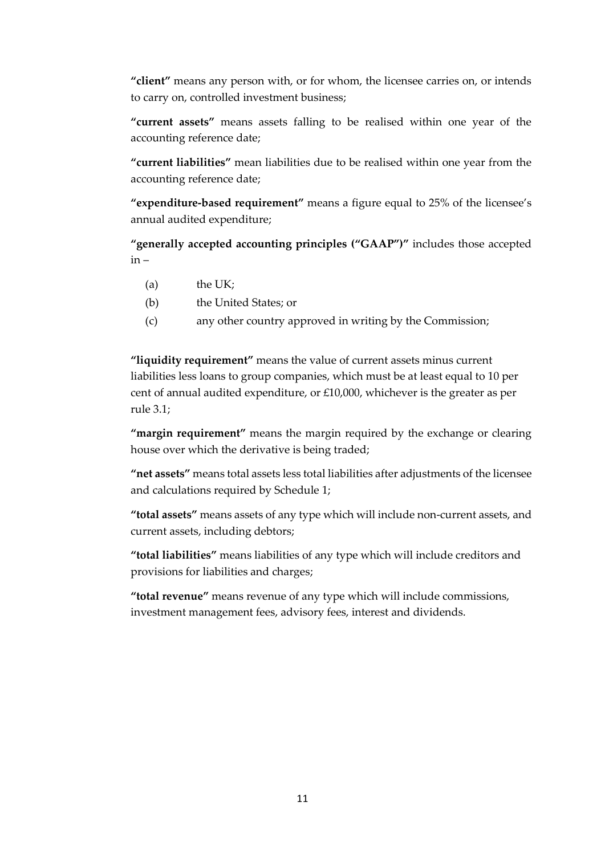**"client"** means any person with, or for whom, the licensee carries on, or intends to carry on, controlled investment business;

**"current assets"** means assets falling to be realised within one year of the accounting reference date;

**"current liabilities"** mean liabilities due to be realised within one year from the accounting reference date;

**"expenditure-based requirement"** means a figure equal to 25% of the licensee's annual audited expenditure;

**"generally accepted accounting principles ("GAAP")"** includes those accepted  $in -$ 

- (a) the UK;
- (b) the United States; or
- (c) any other country approved in writing by the Commission;

**"liquidity requirement"** means the value of current assets minus current liabilities less loans to group companies, which must be at least equal to 10 per cent of annual audited expenditure, or £10,000, whichever is the greater as per rule 3.1;

**"margin requirement"** means the margin required by the exchange or clearing house over which the derivative is being traded;

**"net assets"** means total assets less total liabilities after adjustments of the licensee and calculations required by Schedule 1;

**"total assets"** means assets of any type which will include non-current assets, and current assets, including debtors;

**"total liabilities"** means liabilities of any type which will include creditors and provisions for liabilities and charges;

**"total revenue"** means revenue of any type which will include commissions, investment management fees, advisory fees, interest and dividends.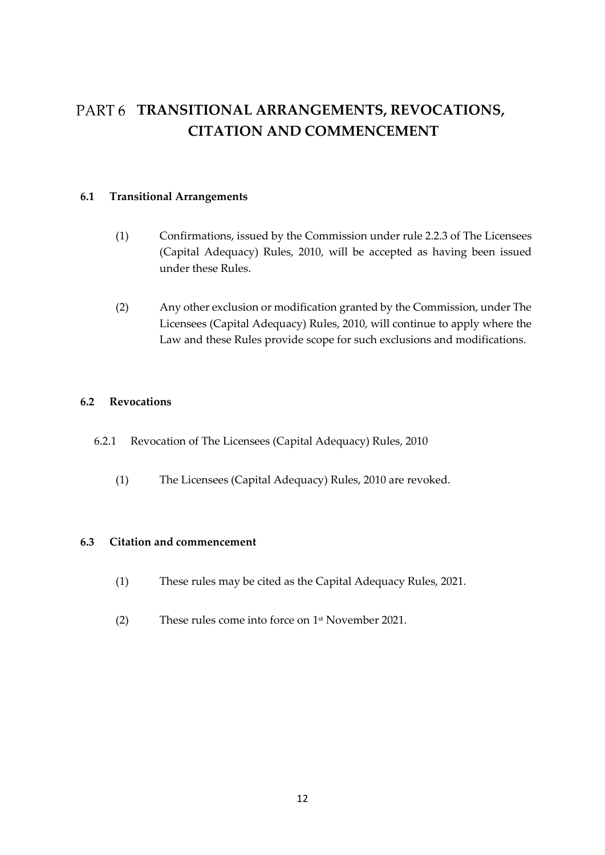## <span id="page-11-0"></span>PART 6 TRANSITIONAL ARRANGEMENTS, REVOCATIONS, **CITATION AND COMMENCEMENT**

### <span id="page-11-1"></span>**6.1 Transitional Arrangements**

- (1) Confirmations, issued by the Commission under rule 2.2.3 of The Licensees (Capital Adequacy) Rules, 2010, will be accepted as having been issued under these Rules.
- (2) Any other exclusion or modification granted by the Commission, under The Licensees (Capital Adequacy) Rules, 2010, will continue to apply where the Law and these Rules provide scope for such exclusions and modifications.

### <span id="page-11-2"></span>**6.2 Revocations**

- 6.2.1 Revocation of The Licensees (Capital Adequacy) Rules, 2010
	- (1) The Licensees (Capital Adequacy) Rules, 2010 are revoked.

### <span id="page-11-3"></span>**6.3 Citation and commencement**

- (1) These rules may be cited as the Capital Adequacy Rules, 2021.
- (2) These rules come into force on 1 st November 2021.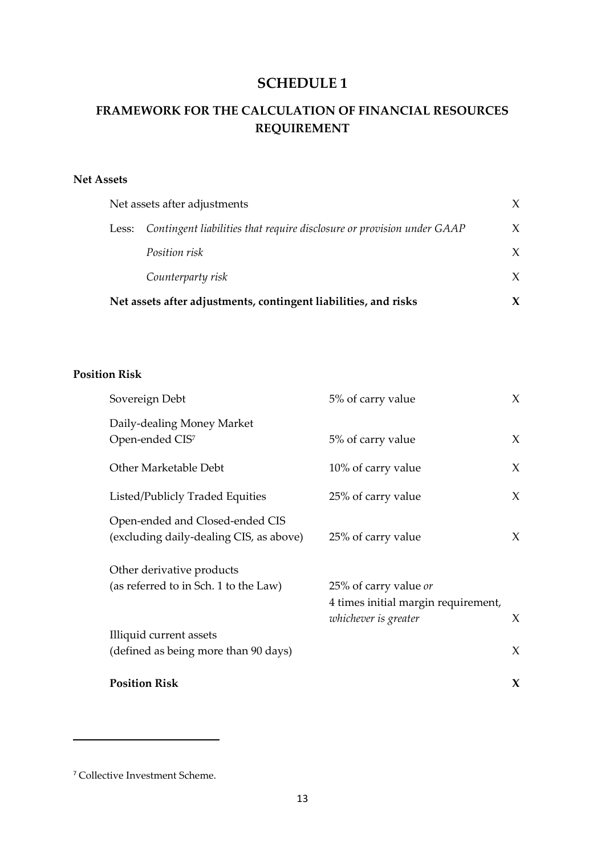### **SCHEDULE 1**

### **FRAMEWORK FOR THE CALCULATION OF FINANCIAL RESOURCES REQUIREMENT**

### **Net Assets**

|                                                                 |       | Net assets after adjustments                                           | X |
|-----------------------------------------------------------------|-------|------------------------------------------------------------------------|---|
|                                                                 | Less: | Contingent liabilities that require disclosure or provision under GAAP | X |
|                                                                 |       | <i>Position risk</i>                                                   | X |
|                                                                 |       | Counterparty risk                                                      | X |
| Net assets after adjustments, contingent liabilities, and risks |       |                                                                        |   |

### **Position Risk**

| 5% of carry value                                                                    | X           |
|--------------------------------------------------------------------------------------|-------------|
| 5% of carry value                                                                    | X           |
| 10% of carry value                                                                   | X           |
| 25% of carry value                                                                   | X           |
| 25% of carry value                                                                   | X           |
|                                                                                      |             |
| 25% of carry value or<br>4 times initial margin requirement,<br>whichever is greater | X           |
|                                                                                      |             |
|                                                                                      | $\chi$      |
|                                                                                      | $\mathbf x$ |
|                                                                                      |             |

<sup>7</sup> Collective Investment Scheme.